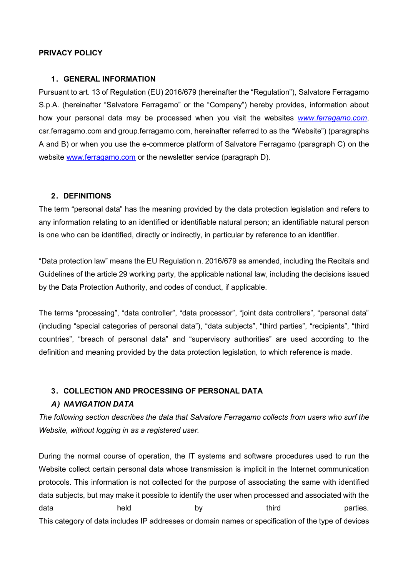### **PRIVACY POLICY**

### **1. GENERAL INFORMATION**

Pursuant to art. 13 of Regulation (EU) 2016/679 (hereinafter the "Regulation"), Salvatore Ferragamo S.p.A. (hereinafter "Salvatore Ferragamo" or the "Company") hereby provides, information about how your personal data may be processed when you visit the websites *[www.ferragamo.com](http://www.ferragamo.com/)*, csr.ferragamo.com and group.ferragamo.com, hereinafter referred to as the "Website") (paragraphs A and B) or when you use the e-commerce platform of Salvatore Ferragamo (paragraph C) on the website [www.ferragamo.com](http://www.ferragamo.com/) or the newsletter service (paragraph D).

### **2. DEFINITIONS**

The term "personal data" has the meaning provided by the data protection legislation and refers to any information relating to an identified or identifiable natural person; an identifiable natural person is one who can be identified, directly or indirectly, in particular by reference to an identifier.

"Data protection law" means the EU Regulation n. 2016/679 as amended, including the Recitals and Guidelines of the article 29 working party, the applicable national law, including the decisions issued by the Data Protection Authority, and codes of conduct, if applicable.

The terms "processing", "data controller", "data processor", "joint data controllers", "personal data" (including "special categories of personal data"), "data subjects", "third parties", "recipients", "third countries", "breach of personal data" and "supervisory authorities" are used according to the definition and meaning provided by the data protection legislation, to which reference is made.

### **3. COLLECTION AND PROCESSING OF PERSONAL DATA**

### *A) NAVIGATION DATA*

*The following section describes the data that Salvatore Ferragamo collects from users who surf the Website, without logging in as a registered user.*

During the normal course of operation, the IT systems and software procedures used to run the Website collect certain personal data whose transmission is implicit in the Internet communication protocols. This information is not collected for the purpose of associating the same with identified data subjects, but may make it possible to identify the user when processed and associated with the data held by third parties. This category of data includes IP addresses or domain names or specification of the type of devices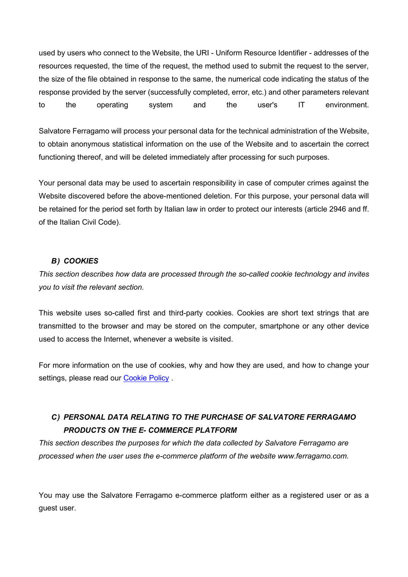used by users who connect to the Website, the URI - Uniform Resource Identifier - addresses of the resources requested, the time of the request, the method used to submit the request to the server, the size of the file obtained in response to the same, the numerical code indicating the status of the response provided by the server (successfully completed, error, etc.) and other parameters relevant to the operating system and the user's IT environment.

Salvatore Ferragamo will process your personal data for the technical administration of the Website, to obtain anonymous statistical information on the use of the Website and to ascertain the correct functioning thereof, and will be deleted immediately after processing for such purposes.

Your personal data may be used to ascertain responsibility in case of computer crimes against the Website discovered before the above-mentioned deletion. For this purpose, your personal data will be retained for the period set forth by Italian law in order to protect our interests (article 2946 and ff. of the Italian Civil Code).

# *B) COOKIES*

*This section describes how data are processed through the so-called cookie technology and invites you to visit the relevant section.*

This website uses so-called first and third-party cookies. Cookies are short text strings that are transmitted to the browser and may be stored on the computer, smartphone or any other device used to access the Internet, whenever a website is visited.

For more information on the use of cookies, why and how they are used, and how to change your settings, please read our [Cookie Policy](https://www.ferragamo.com/shop/ita/it/sf/note-legali/cookie-policy--44082).

# *C) PERSONAL DATA RELATING TO THE PURCHASE OF SALVATORE FERRAGAMO PRODUCTS ON THE E- COMMERCE PLATFORM*

*This section describes the purposes for which the data collected by Salvatore Ferragamo are processed when the user uses the e-commerce platform of the website www.ferragamo.com.*

You may use the Salvatore Ferragamo e-commerce platform either as a registered user or as a guest user.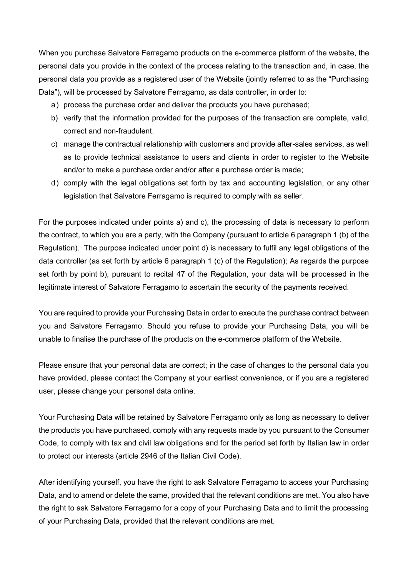When you purchase Salvatore Ferragamo products on the e-commerce platform of the website, the personal data you provide in the context of the process relating to the transaction and, in case, the personal data you provide as a registered user of the Website (jointly referred to as the "Purchasing Data"), will be processed by Salvatore Ferragamo, as data controller, in order to:

- a ) process the purchase order and deliver the products you have purchased;
- b) verify that the information provided for the purposes of the transaction are complete, valid, correct and non-fraudulent.
- c) manage the contractual relationship with customers and provide after-sales services, as well as to provide technical assistance to users and clients in order to register to the Website and/or to make a purchase order and/or after a purchase order is made;
- d ) comply with the legal obligations set forth by tax and accounting legislation, or any other legislation that Salvatore Ferragamo is required to comply with as seller.

For the purposes indicated under points a) and c), the processing of data is necessary to perform the contract, to which you are a party, with the Company (pursuant to article 6 paragraph 1 (b) of the Regulation). The purpose indicated under point d) is necessary to fulfil any legal obligations of the data controller (as set forth by article 6 paragraph 1 (c) of the Regulation); As regards the purpose set forth by point b), pursuant to recital 47 of the Regulation, your data will be processed in the legitimate interest of Salvatore Ferragamo to ascertain the security of the payments received.

You are required to provide your Purchasing Data in order to execute the purchase contract between you and Salvatore Ferragamo. Should you refuse to provide your Purchasing Data, you will be unable to finalise the purchase of the products on the e-commerce platform of the Website.

Please ensure that your personal data are correct; in the case of changes to the personal data you have provided, please contact the Company at your earliest convenience, or if you are a registered user, please change your personal data online.

Your Purchasing Data will be retained by Salvatore Ferragamo only as long as necessary to deliver the products you have purchased, comply with any requests made by you pursuant to the Consumer Code, to comply with tax and civil law obligations and for the period set forth by Italian law in order to protect our interests (article 2946 of the Italian Civil Code).

After identifying yourself, you have the right to ask Salvatore Ferragamo to access your Purchasing Data, and to amend or delete the same, provided that the relevant conditions are met. You also have the right to ask Salvatore Ferragamo for a copy of your Purchasing Data and to limit the processing of your Purchasing Data, provided that the relevant conditions are met.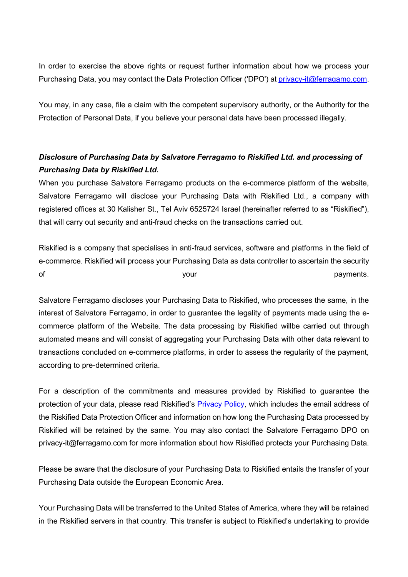In order to exercise the above rights or request further information about how we process your Purchasing Data, you may contact the Data Protection Officer ('DPO') at [privacy-it@ferragamo.com.](mailto:privacy-it@ferragamo.com)

You may, in any case, file a claim with the competent supervisory authority, or the Authority for the Protection of Personal Data, if you believe your personal data have been processed illegally.

# *Disclosure of Purchasing Data by Salvatore Ferragamo to Riskified Ltd. and processing of Purchasing Data by Riskified Ltd.*

When you purchase Salvatore Ferragamo products on the e-commerce platform of the website, Salvatore Ferragamo will disclose your Purchasing Data with Riskified Ltd., a company with registered offices at 30 Kalisher St., Tel Aviv 6525724 Israel (hereinafter referred to as "Riskified"), that will carry out security and anti-fraud checks on the transactions carried out.

Riskified is a company that specialises in anti-fraud services, software and platforms in the field of e-commerce. Riskified will process your Purchasing Data as data controller to ascertain the security of the contract of the state of the state of the payments.

Salvatore Ferragamo discloses your Purchasing Data to Riskified, who processes the same, in the interest of Salvatore Ferragamo, in order to guarantee the legality of payments made using the ecommerce platform of the Website. The data processing by Riskified willbe carried out through automated means and will consist of aggregating your Purchasing Data with other data relevant to transactions concluded on e-commerce platforms, in order to assess the regularity of the payment, according to pre-determined criteria.

For a description of the commitments and measures provided by Riskified to guarantee the protection of your data, please read Riskified's [Privacy Policy,](https://www.riskified.com/privacy/) which includes the email address of the Riskified Data Protection Officer and information on how long the Purchasing Data processed by Riskified will be retained by the same. You may also contact the Salvatore Ferragamo DPO on [privacy-it@ferragamo.com](mailto:privacy-it@ferragamo.com) for more information about how Riskified protects your Purchasing Data.

Please be aware that the disclosure of your Purchasing Data to Riskified entails the transfer of your Purchasing Data outside the European Economic Area.

Your Purchasing Data will be transferred to the United States of America, where they will be retained in the Riskified servers in that country. This transfer is subject to Riskified's undertaking to provide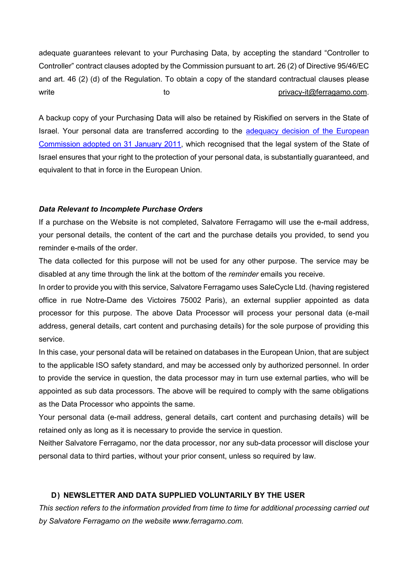adequate guarantees relevant to your Purchasing Data, by accepting the standard "Controller to Controller" contract clauses adopted by the Commission pursuant to art. 26 (2) of Directive 95/46/EC and art. 46 (2) (d) of the Regulation. To obtain a copy of the standard contractual clauses please write to to [privacy-it@ferragamo.com.](mailto:privacy-it@ferragamo.com)

A backup copy of your Purchasing Data will also be retained by Riskified on servers in the State of Israel. Your personal data are transferred according to the adequacy decision of the European [Commission adopted on 31 January 2011,](https://eur-lex.europa.eu/legal-content/IT/TXT/HTML/?uri=CELEX:32011D0061&from=IT) which recognised that the legal system of the State of Israel ensures that your right to the protection of your personal data, is substantially guaranteed, and equivalent to that in force in the European Union.

### *Data Relevant to Incomplete Purchase Orders*

If a purchase on the Website is not completed, Salvatore Ferragamo will use the e-mail address, your personal details, the content of the cart and the purchase details you provided, to send you reminder e-mails of the order.

The data collected for this purpose will not be used for any other purpose. The service may be disabled at any time through the link at the bottom of the *reminder* emails you receive.

In order to provide you with this service, Salvatore Ferragamo uses SaleCycle Ltd. (having registered office in rue Notre-Dame des Victoires 75002 Paris), an external supplier appointed as data processor for this purpose. The above Data Processor will process your personal data (e-mail address, general details, cart content and purchasing details) for the sole purpose of providing this service.

In this case, your personal data will be retained on databases in the European Union, that are subject to the applicable ISO safety standard, and may be accessed only by authorized personnel. In order to provide the service in question, the data processor may in turn use external parties, who will be appointed as sub data processors. The above will be required to comply with the same obligations as the Data Processor who appoints the same.

Your personal data (e-mail address, general details, cart content and purchasing details) will be retained only as long as it is necessary to provide the service in question.

Neither Salvatore Ferragamo, nor the data processor, nor any sub-data processor will disclose your personal data to third parties, without your prior consent, unless so required by law.

### **D) NEWSLETTER AND DATA SUPPLIED VOLUNTARILY BY THE USER**

*This section refers to the information provided from time to time for additional processing carried out by Salvatore Ferragamo on the website www.ferragamo.com.*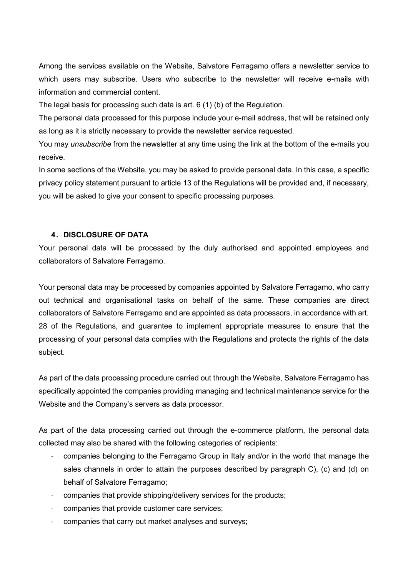Among the services available on the Website, Salvatore Ferragamo offers a newsletter service to which users may subscribe. Users who subscribe to the newsletter will receive e-mails with information and commercial content.

The legal basis for processing such data is art. 6 (1) (b) of the Regulation.

The personal data processed for this purpose include your e-mail address, that will be retained only as long as it is strictly necessary to provide the newsletter service requested.

You may *unsubscribe* from the newsletter at any time using the link at the bottom of the e-mails you receive.

In some sections of the Website, you may be asked to provide personal data. In this case, a specific privacy policy statement pursuant to article 13 of the Regulations will be provided and, if necessary, you will be asked to give your consent to specific processing purposes.

# **4. DISCLOSURE OF DATA**

Your personal data will be processed by the duly authorised and appointed employees and collaborators of Salvatore Ferragamo.

Your personal data may be processed by companies appointed by Salvatore Ferragamo, who carry out technical and organisational tasks on behalf of the same. These companies are direct collaborators of Salvatore Ferragamo and are appointed as data processors, in accordance with art. 28 of the Regulations, and guarantee to implement appropriate measures to ensure that the processing of your personal data complies with the Regulations and protects the rights of the data subject.

As part of the data processing procedure carried out through the Website, Salvatore Ferragamo has specifically appointed the companies providing managing and technical maintenance service for the Website and the Company's servers as data processor.

As part of the data processing carried out through the e-commerce platform, the personal data collected may also be shared with the following categories of recipients:

- companies belonging to the Ferragamo Group in Italy and/or in the world that manage the sales channels in order to attain the purposes described by paragraph C), (c) and (d) on behalf of Salvatore Ferragamo;
- companies that provide shipping/delivery services for the products;
- companies that provide customer care services;
- companies that carry out market analyses and surveys;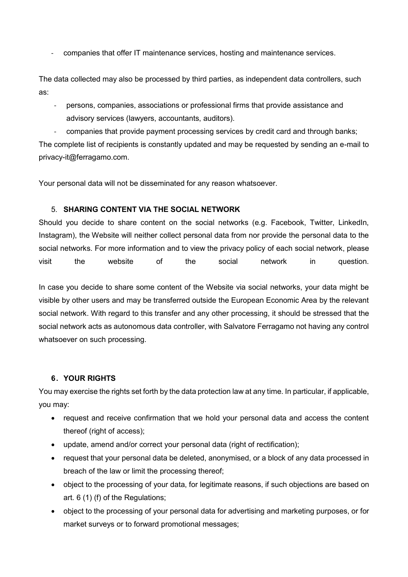- companies that offer IT maintenance services, hosting and maintenance services.

The data collected may also be processed by third parties, as independent data controllers, such as:

- persons, companies, associations or professional firms that provide assistance and advisory services (lawyers, accountants, auditors).

- companies that provide payment processing services by credit card and through banks; The complete list of recipients is constantly updated and may be requested by sending an e-mail to privacy-it@ferragamo.com.

Your personal data will not be disseminated for any reason whatsoever.

### 5. **SHARING CONTENT VIA THE SOCIAL NETWORK**

Should you decide to share content on the social networks (e.g. Facebook, Twitter, LinkedIn, Instagram), the Website will neither collect personal data from nor provide the personal data to the social networks. For more information and to view the privacy policy of each social network, please visit the website of the social network in question.

In case you decide to share some content of the Website via social networks, your data might be visible by other users and may be transferred outside the European Economic Area by the relevant social network. With regard to this transfer and any other processing, it should be stressed that the social network acts as autonomous data controller, with Salvatore Ferragamo not having any control whatsoever on such processing.

### **6. YOUR RIGHTS**

You may exercise the rights set forth by the data protection law at any time. In particular, if applicable, you may:

- request and receive confirmation that we hold your personal data and access the content thereof (right of access);
- update, amend and/or correct your personal data (right of rectification);
- request that your personal data be deleted, anonymised, or a block of any data processed in breach of the law or limit the processing thereof;
- object to the processing of your data, for legitimate reasons, if such objections are based on art. 6 (1) (f) of the Regulations;
- object to the processing of your personal data for advertising and marketing purposes, or for market surveys or to forward promotional messages;